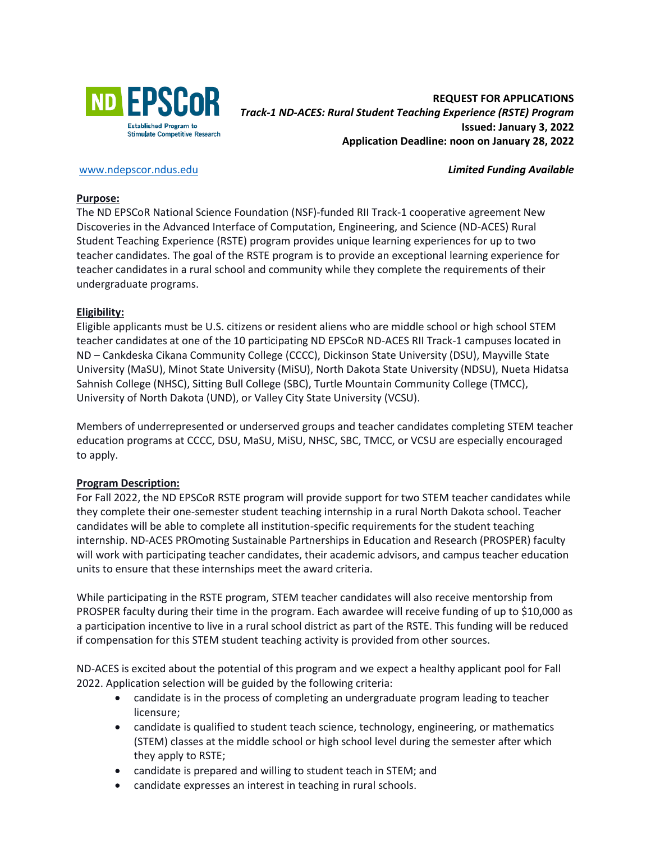

# **REQUEST FOR APPLICATIONS** *Track-1 ND-ACES: Rural Student Teaching Experience (RSTE) Program* **Issued: January 3, 2022 Application Deadline: noon on January 28, 2022**

[www.ndepscor.ndus.edu](about:blank) *Limited Funding Available*

#### **Purpose:**

The ND EPSCoR National Science Foundation (NSF)-funded RII Track-1 cooperative agreement New Discoveries in the Advanced Interface of Computation, Engineering, and Science (ND-ACES) Rural Student Teaching Experience (RSTE) program provides unique learning experiences for up to two teacher candidates. The goal of the RSTE program is to provide an exceptional learning experience for teacher candidates in a rural school and community while they complete the requirements of their undergraduate programs.

## **Eligibility:**

Eligible applicants must be U.S. citizens or resident aliens who are middle school or high school STEM teacher candidates at one of the 10 participating ND EPSCoR ND-ACES RII Track-1 campuses located in ND – Cankdeska Cikana Community College (CCCC), Dickinson State University (DSU), Mayville State University (MaSU), Minot State University (MiSU), North Dakota State University (NDSU), Nueta Hidatsa Sahnish College (NHSC), Sitting Bull College (SBC), Turtle Mountain Community College (TMCC), University of North Dakota (UND), or Valley City State University (VCSU).

Members of underrepresented or underserved groups and teacher candidates completing STEM teacher education programs at CCCC, DSU, MaSU, MiSU, NHSC, SBC, TMCC, or VCSU are especially encouraged to apply.

## **Program Description:**

For Fall 2022, the ND EPSCoR RSTE program will provide support for two STEM teacher candidates while they complete their one-semester student teaching internship in a rural North Dakota school. Teacher candidates will be able to complete all institution-specific requirements for the student teaching internship. ND-ACES PROmoting Sustainable Partnerships in Education and Research (PROSPER) faculty will work with participating teacher candidates, their academic advisors, and campus teacher education units to ensure that these internships meet the award criteria.

While participating in the RSTE program, STEM teacher candidates will also receive mentorship from PROSPER faculty during their time in the program. Each awardee will receive funding of up to \$10,000 as a participation incentive to live in a rural school district as part of the RSTE. This funding will be reduced if compensation for this STEM student teaching activity is provided from other sources.

ND-ACES is excited about the potential of this program and we expect a healthy applicant pool for Fall 2022. Application selection will be guided by the following criteria:

- candidate is in the process of completing an undergraduate program leading to teacher licensure;
- candidate is qualified to student teach science, technology, engineering, or mathematics (STEM) classes at the middle school or high school level during the semester after which they apply to RSTE;
- candidate is prepared and willing to student teach in STEM; and
- candidate expresses an interest in teaching in rural schools.